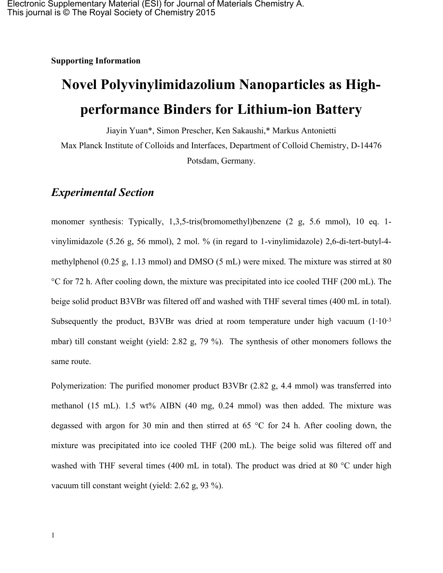**Supporting Information**

## **Novel Polyvinylimidazolium Nanoparticles as Highperformance Binders for Lithium-ion Battery**

Jiayin Yuan\*, Simon Prescher, Ken Sakaushi,\* Markus Antonietti Max Planck Institute of Colloids and Interfaces, Department of Colloid Chemistry, D-14476 Potsdam, Germany.

## *Experimental Section*

monomer synthesis: Typically, 1,3,5-tris(bromomethyl)benzene (2 g, 5.6 mmol), 10 eq. 1 vinylimidazole (5.26 g, 56 mmol), 2 mol. % (in regard to 1-vinylimidazole) 2,6-di-tert-butyl-4 methylphenol (0.25 g, 1.13 mmol) and DMSO (5 mL) were mixed. The mixture was stirred at 80 °C for 72 h. After cooling down, the mixture was precipitated into ice cooled THF (200 mL). The beige solid product B3VBr was filtered off and washed with THF several times (400 mL in total). Subsequently the product, B3VBr was dried at room temperature under high vacuum  $(1 \cdot 10^{-3})$ mbar) till constant weight (yield: 2.82 g, 79 %). The synthesis of other monomers follows the same route.

Polymerization: The purified monomer product B3VBr (2.82 g, 4.4 mmol) was transferred into methanol (15 mL). 1.5 wt% AIBN (40 mg, 0.24 mmol) was then added. The mixture was degassed with argon for 30 min and then stirred at 65 °C for 24 h. After cooling down, the mixture was precipitated into ice cooled THF (200 mL). The beige solid was filtered off and washed with THF several times (400 mL in total). The product was dried at 80 °C under high vacuum till constant weight (yield: 2.62 g, 93 %).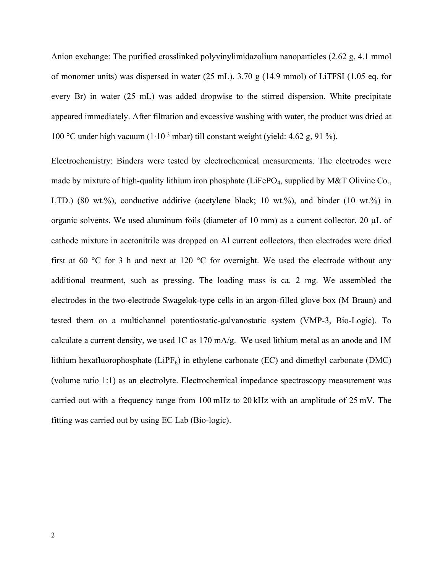Anion exchange: The purified crosslinked polyvinylimidazolium nanoparticles (2.62 g, 4.1 mmol of monomer units) was dispersed in water (25 mL). 3.70 g (14.9 mmol) of LiTFSI (1.05 eq. for every Br) in water (25 mL) was added dropwise to the stirred dispersion. White precipitate appeared immediately. After filtration and excessive washing with water, the product was dried at 100 °C under high vacuum (1∙10-3 mbar) till constant weight (yield: 4.62 g, 91 %).

Electrochemistry: Binders were tested by electrochemical measurements. The electrodes were made by mixture of high-quality lithium iron phosphate (LiFePO<sub>4</sub>, supplied by M&T Olivine Co., LTD.) (80 wt.%), conductive additive (acetylene black; 10 wt.%), and binder (10 wt.%) in organic solvents. We used aluminum foils (diameter of 10 mm) as a current collector. 20 µL of cathode mixture in acetonitrile was dropped on Al current collectors, then electrodes were dried first at 60  $\degree$ C for 3 h and next at 120  $\degree$ C for overnight. We used the electrode without any additional treatment, such as pressing. The loading mass is ca. 2 mg. We assembled the electrodes in the two-electrode Swagelok-type cells in an argon-filled glove box (M Braun) and tested them on a multichannel potentiostatic-galvanostatic system (VMP-3, Bio-Logic). To calculate a current density, we used 1C as 170 mA/g. We used lithium metal as an anode and 1M lithium hexafluorophosphate (LiPF<sub>6</sub>) in ethylene carbonate (EC) and dimethyl carbonate (DMC) (volume ratio 1:1) as an electrolyte. Electrochemical impedance spectroscopy measurement was carried out with a frequency range from 100 mHz to 20 kHz with an amplitude of 25 mV. The fitting was carried out by using EC Lab (Bio-logic).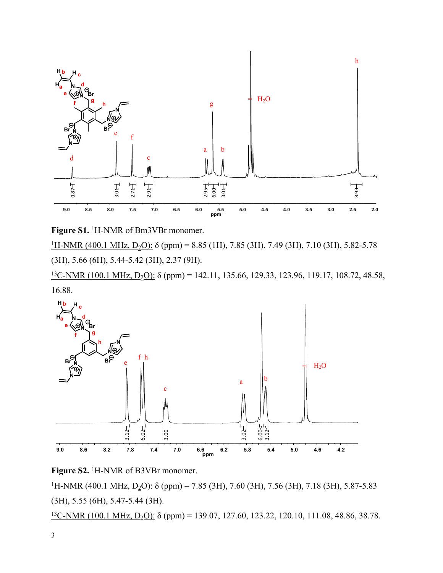

**Figure S1.** <sup>1</sup>H-NMR of Bm3VBr monomer.

<sup>1</sup>H-NMR (400.1 MHz, D<sub>2</sub>O): δ (ppm) = 8.85 (1H), 7.85 (3H), 7.49 (3H), 7.10 (3H), 5.82-5.78 (3H), 5.66 (6H), 5.44-5.42 (3H), 2.37 (9H).

<sup>13</sup>C-NMR (100.1 MHz, D<sub>2</sub>O): δ (ppm) = 142.11, 135.66, 129.33, 123.96, 119.17, 108.72, 48.58, 16.88.





<sup>1</sup>H-NMR (400.1 MHz, D<sub>2</sub>O): δ (ppm) = 7.85 (3H), 7.60 (3H), 7.56 (3H), 7.18 (3H), 5.87-5.83 (3H), 5.55 (6H), 5.47-5.44 (3H).

 $13C-NMR$  (100.1 MHz, D<sub>2</sub>O): δ (ppm) = 139.07, 127.60, 123.22, 120.10, 111.08, 48.86, 38.78.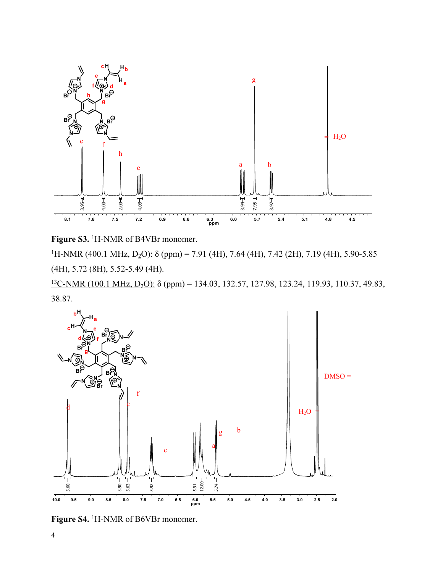

**Figure S3.** <sup>1</sup>H-NMR of B4VBr monomer.

<sup>1</sup>H-NMR (400.1 MHz, D<sub>2</sub>O): δ (ppm) = 7.91 (4H), 7.64 (4H), 7.42 (2H), 7.19 (4H), 5.90-5.85 (4H), 5.72 (8H), 5.52-5.49 (4H).

 $13$ C-NMR (100.1 MHz, D<sub>2</sub>O): δ (ppm) = 134.03, 132.57, 127.98, 123.24, 119.93, 110.37, 49.83, 38.87.



**Figure S4.** <sup>1</sup>H-NMR of B6VBr monomer.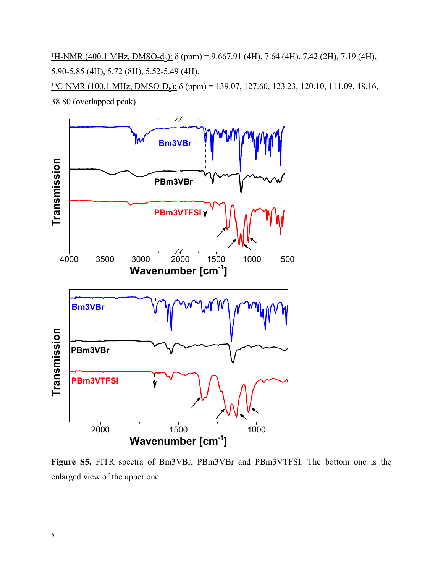<sup>1</sup>H-NMR (400.1 MHz, DMSO-d<sub>6</sub>): δ (ppm) = 9.667.91 (4H), 7.64 (4H), 7.42 (2H), 7.19 (4H), 5.90-5.85 (4H), 5.72 (8H), 5.52-5.49 (4H).

 $13C-NMR$  (100.1 MHz, DMSO-D<sub>6</sub>): δ (ppm) = 139.07, 127.60, 123.23, 120.10, 111.09, 48.16, 38.80 (overlapped peak).



**Figure S5.** FITR spectra of Bm3VBr, PBm3VBr and PBm3VTFSI. The bottom one is the enlarged view of the upper one.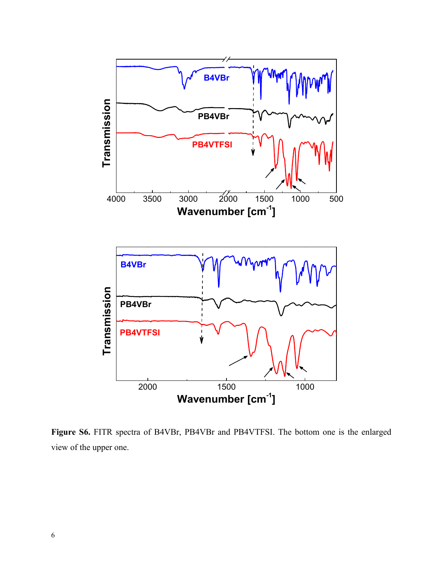

**Figure S6.** FITR spectra of B4VBr, PB4VBr and PB4VTFSI. The bottom one is the enlarged view of the upper one.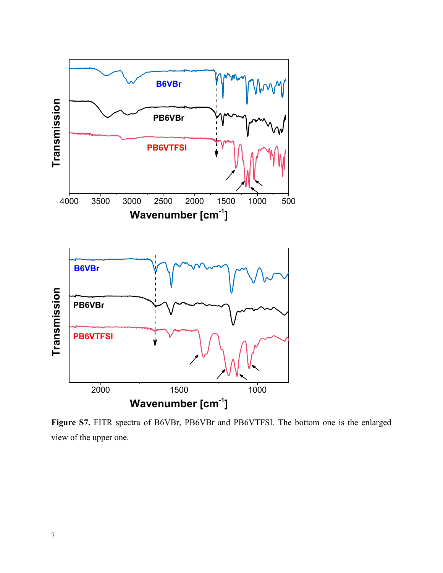

**Figure S7.** FITR spectra of B6VBr, PB6VBr and PB6VTFSI. The bottom one is the enlarged view of the upper one.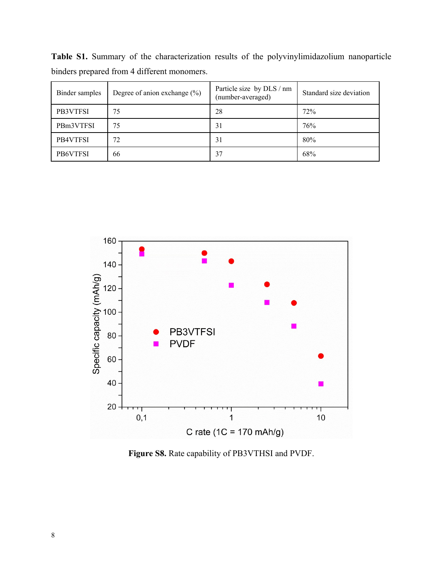**Table S1.** Summary of the characterization results of the polyvinylimidazolium nanoparticle binders prepared from 4 different monomers.

| Binder samples | Degree of anion exchange $(\% )$ | Particle size by DLS / nm<br>(number-averaged) | Standard size deviation |
|----------------|----------------------------------|------------------------------------------------|-------------------------|
| PB3VTFSI       | 75                               | 28                                             | 72%                     |
| PBm3VTFSI      | 75                               | 31                                             | 76%                     |
| PB4VTFSI       | 72                               | 31                                             | 80%                     |
| PB6VTFSI       | 66                               | 37                                             | 68%                     |



**Figure S8.** Rate capability of PB3VTHSI and PVDF.